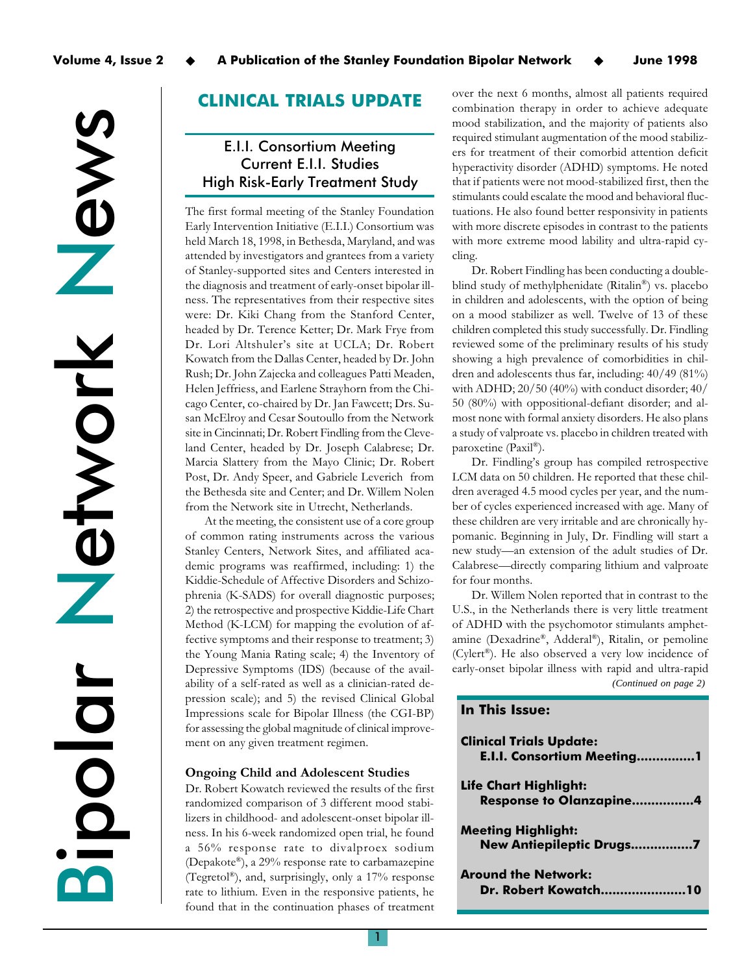News Network etwork  $\overline{z}$ Bipolar

# CLINICAL TRIALS UPDATE

# E.I.I. Consortium Meeting Current E.I.I. Studies High Risk-Early Treatment Study

The first formal meeting of the Stanley Foundation Early Intervention Initiative (E.I.I.) Consortium was held March 18, 1998, in Bethesda, Maryland, and was attended by investigators and grantees from a variety of Stanley-supported sites and Centers interested in the diagnosis and treatment of early-onset bipolar illness. The representatives from their respective sites were: Dr. Kiki Chang from the Stanford Center, headed by Dr. Terence Ketter; Dr. Mark Frye from Dr. Lori Altshuler's site at UCLA; Dr. Robert Kowatch from the Dallas Center, headed by Dr. John Rush; Dr. John Zajecka and colleagues Patti Meaden, Helen Jeffriess, and Earlene Strayhorn from the Chicago Center, co-chaired by Dr. Jan Fawcett; Drs. Susan McElroy and Cesar Soutoullo from the Network site in Cincinnati; Dr. Robert Findling from the Cleveland Center, headed by Dr. Joseph Calabrese; Dr. Marcia Slattery from the Mayo Clinic; Dr. Robert Post, Dr. Andy Speer, and Gabriele Leverich from the Bethesda site and Center; and Dr. Willem Nolen from the Network site in Utrecht, Netherlands.

At the meeting, the consistent use of a core group of common rating instruments across the various Stanley Centers, Network Sites, and affiliated academic programs was reaffirmed, including: 1) the Kiddie-Schedule of Affective Disorders and Schizophrenia (K-SADS) for overall diagnostic purposes; 2) the retrospective and prospective Kiddie-Life Chart Method (K-LCM) for mapping the evolution of affective symptoms and their response to treatment; 3) the Young Mania Rating scale; 4) the Inventory of Depressive Symptoms (IDS) (because of the availability of a self-rated as well as a clinician-rated depression scale); and 5) the revised Clinical Global Impressions scale for Bipolar Illness (the CGI-BP) for assessing the global magnitude of clinical improvement on any given treatment regimen.

## Ongoing Child and Adolescent Studies

Dr. Robert Kowatch reviewed the results of the first randomized comparison of 3 different mood stabilizers in childhood- and adolescent-onset bipolar illness. In his 6-week randomized open trial, he found a 56% response rate to divalproex sodium (Depakote®), a 29% response rate to carbamazepine (Tegretol®), and, surprisingly, only a 17% response rate to lithium. Even in the responsive patients, he found that in the continuation phases of treatment over the next 6 months, almost all patients required combination therapy in order to achieve adequate mood stabilization, and the majority of patients also required stimulant augmentation of the mood stabilizers for treatment of their comorbid attention deficit hyperactivity disorder (ADHD) symptoms. He noted that if patients were not mood-stabilized first, then the stimulants could escalate the mood and behavioral fluctuations. He also found better responsivity in patients with more discrete episodes in contrast to the patients with more extreme mood lability and ultra-rapid cycling.

Dr. Robert Findling has been conducting a doubleblind study of methylphenidate (Ritalin®) vs. placebo in children and adolescents, with the option of being on a mood stabilizer as well. Twelve of 13 of these children completed this study successfully. Dr. Findling reviewed some of the preliminary results of his study showing a high prevalence of comorbidities in children and adolescents thus far, including: 40/49 (81%) with ADHD; 20/50 (40%) with conduct disorder; 40/ 50 (80%) with oppositional-defiant disorder; and almost none with formal anxiety disorders. He also plans a study of valproate vs. placebo in children treated with paroxetine (Paxil®).

Dr. Findling's group has compiled retrospective LCM data on 50 children. He reported that these children averaged 4.5 mood cycles per year, and the number of cycles experienced increased with age. Many of these children are very irritable and are chronically hypomanic. Beginning in July, Dr. Findling will start a new study—an extension of the adult studies of Dr. Calabrese—directly comparing lithium and valproate for four months.

*(Continued on page 2)* Dr. Willem Nolen reported that in contrast to the U.S., in the Netherlands there is very little treatment of ADHD with the psychomotor stimulants amphetamine (Dexadrine®, Adderal®), Ritalin, or pemoline (Cylert®). He also observed a very low incidence of early-onset bipolar illness with rapid and ultra-rapid

## In This Issue:

| <b>Clinical Trials Update:</b><br>E.I.I. Consortium Meeting1   |
|----------------------------------------------------------------|
| <b>Life Chart Highlight:</b><br><b>Response to Olanzapine4</b> |
| <b>Meeting Highlight:</b><br>New Antiepileptic Drugs7          |
| <b>Around the Network:</b><br><b>Dr. Robert Kowatch10</b>      |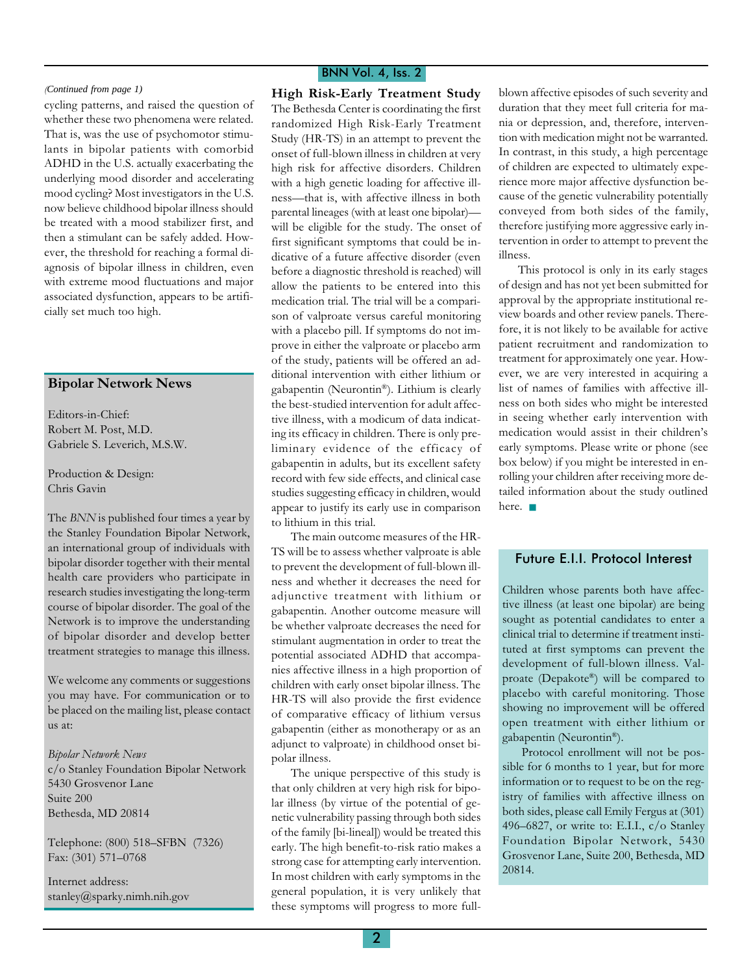cycling patterns, and raised the question of whether these two phenomena were related. That is, was the use of psychomotor stimulants in bipolar patients with comorbid ADHD in the U.S. actually exacerbating the underlying mood disorder and accelerating mood cycling? Most investigators in the U.S. now believe childhood bipolar illness should be treated with a mood stabilizer first, and then a stimulant can be safely added. However, the threshold for reaching a formal diagnosis of bipolar illness in children, even with extreme mood fluctuations and major associated dysfunction, appears to be artificially set much too high.

## Bipolar Network News

Editors-in-Chief: Robert M. Post, M.D. Gabriele S. Leverich, M.S.W.

Production & Design: Chris Gavin

The BNN is published four times a year by the Stanley Foundation Bipolar Network, an international group of individuals with bipolar disorder together with their mental health care providers who participate in research studies investigating the long-term course of bipolar disorder. The goal of the Network is to improve the understanding of bipolar disorder and develop better treatment strategies to manage this illness.

We welcome any comments or suggestions you may have. For communication or to be placed on the mailing list, please contact us at:

## Bipolar Network News

c/o Stanley Foundation Bipolar Network 5430 Grosvenor Lane Suite 200 Bethesda, MD 20814

Telephone: (800) 518-SFBN (7326) Fax: (301) 571-0768

Internet address: stanley@sparky.nimh.nih.gov

## BNN Vol. 4, Iss. 2

(Continued from page 1) **High Risk-Early Treatment Study** The Bethesda Center is coordinating the first randomized High Risk-Early Treatment Study (HR-TS) in an attempt to prevent the onset of full-blown illness in children at very high risk for affective disorders. Children with a high genetic loading for affective illness-that is, with affective illness in both parental lineages (with at least one bipolar) will be eligible for the study. The onset of first significant symptoms that could be indicative of a future affective disorder (even before a diagnostic threshold is reached) will allow the patients to be entered into this medication trial. The trial will be a comparison of valproate versus careful monitoring with a placebo pill. If symptoms do not improve in either the valproate or placebo arm of the study, patients will be offered an additional intervention with either lithium or gabapentin (Neurontin®). Lithium is clearly the best-studied intervention for adult affective illness, with a modicum of data indicating its efficacy in children. There is only preliminary evidence of the efficacy of gabapentin in adults, but its excellent safety record with few side effects, and clinical case studies suggesting efficacy in children, would appear to justify its early use in comparison to lithium in this trial.

> The main outcome measures of the HR-TS will be to assess whether valproate is able to prevent the development of full-blown illness and whether it decreases the need for adjunctive treatment with lithium or gabapentin. Another outcome measure will be whether valproate decreases the need for stimulant augmentation in order to treat the potential associated ADHD that accompanies affective illness in a high proportion of children with early onset bipolar illness. The HR-TS will also provide the first evidence of comparative efficacy of lithium versus gabapentin (either as monotherapy or as an adjunct to valproate) in childhood onset bipolar illness.

> The unique perspective of this study is that only children at very high risk for bipolar illness (by virtue of the potential of genetic vulnerability passing through both sides of the family [bi-lineal]) would be treated this early. The high benefit-to-risk ratio makes a strong case for attempting early intervention. In most children with early symptoms in the general population, it is very unlikely that these symptoms will progress to more full

blown affective episodes of such severity and duration that they meet full criteria for mania or depression, and, therefore, intervention with medication might not be warranted. In contrast, in this study, a high percentage of children are expected to ultimately experience more major affective dysfunction because of the genetic vulnerability potentially conveyed from both sides of the family, therefore justifying more aggressive early intervention in order to attempt to prevent the illness.

This protocol is only in its early stages of design and has not yet been submitted for approval by the appropriate institutional review boards and other review panels. Therefore, it is not likely to be available for active patient recruitment and randomization to treatment for approximately one year. However, we are very interested in acquiring a list of names of families with affective illness on both sides who might be interested in seeing whether early intervention with medication would assist in their children's early symptoms. Please write or phone (see box below) if you might be interested in enrolling your children after receiving more detailed information about the study outlined here. ■

## Future E.I.I. Protocol Interest

Children whose parents both have affective illness (at least one bipolar) are being sought as potential candidates to enter a clinical trial to determine if treatment instituted at first symptoms can prevent the development of full-blown illness. Valproate (Depakote®) will be compared to placebo with careful monitoring. Those showing no improvement will be offered open treatment with either lithium or gabapentin (Neurontin®).

Protocol enrollment will not be possible for 6 months to 1 year, but for more information or to request to be on the registry of families with affective illness on both sides, please call Emily Fergus at (301) 496-6827, or write to: E.I.I., c/o Stanley Foundation Bipolar Network, 5430 Grosvenor Lane, Suite 200, Bethesda, MD 20814.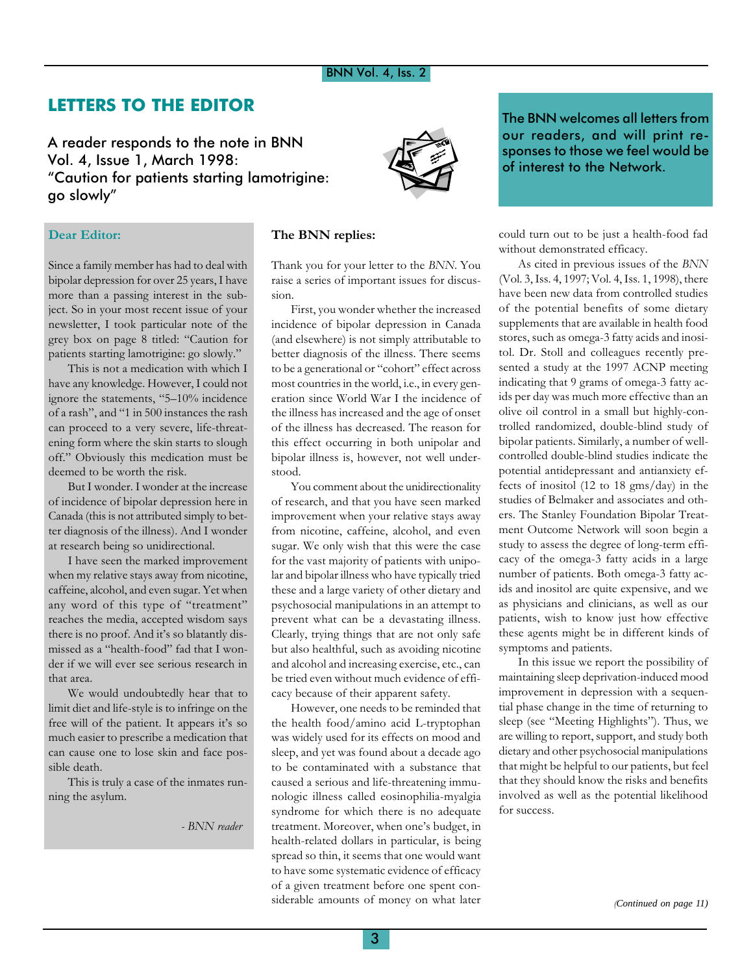# LETTERS TO THE EDITOR

A reader responds to the note in BNN Vol. 4, Issue 1, March 1998: Caution for patients starting lamotrigine: go slowly



Since a family member has had to deal with bipolar depression for over 25 years, I have more than a passing interest in the subject. So in your most recent issue of your newsletter, I took particular note of the grey box on page 8 titled: Caution for patients starting lamotrigine: go slowly.

This is not a medication with which I have any knowledge. However, I could not ignore the statements, "5-10% incidence of a rash", and "1 in 500 instances the rash can proceed to a very severe, life-threatening form where the skin starts to slough off." Obviously this medication must be deemed to be worth the risk.

But I wonder. I wonder at the increase of incidence of bipolar depression here in Canada (this is not attributed simply to better diagnosis of the illness). And I wonder at research being so unidirectional.

I have seen the marked improvement when my relative stays away from nicotine, caffeine, alcohol, and even sugar. Yet when any word of this type of "treatment" reaches the media, accepted wisdom says there is no proof. And it's so blatantly dismissed as a "health-food" fad that I wonder if we will ever see serious research in that area.

We would undoubtedly hear that to limit diet and life-style is to infringe on the free will of the patient. It appears it's so much easier to prescribe a medication that can cause one to lose skin and face possible death.

This is truly a case of the inmates running the asylum.

- BNN reader



## The BNN replies:

Thank you for your letter to the BNN. You raise a series of important issues for discussion.

First, you wonder whether the increased incidence of bipolar depression in Canada (and elsewhere) is not simply attributable to better diagnosis of the illness. There seems to be a generational or "cohort" effect across most countries in the world, i.e., in every generation since World War I the incidence of the illness has increased and the age of onset of the illness has decreased. The reason for this effect occurring in both unipolar and bipolar illness is, however, not well understood.

You comment about the unidirectionality of research, and that you have seen marked improvement when your relative stays away from nicotine, caffeine, alcohol, and even sugar. We only wish that this were the case for the vast majority of patients with unipolar and bipolar illness who have typically tried these and a large variety of other dietary and psychosocial manipulations in an attempt to prevent what can be a devastating illness. Clearly, trying things that are not only safe but also healthful, such as avoiding nicotine and alcohol and increasing exercise, etc., can be tried even without much evidence of efficacy because of their apparent safety.

However, one needs to be reminded that the health food/amino acid L-tryptophan was widely used for its effects on mood and sleep, and yet was found about a decade ago to be contaminated with a substance that caused a serious and life-threatening immunologic illness called eosinophilia-myalgia syndrome for which there is no adequate treatment. Moreover, when one's budget, in health-related dollars in particular, is being spread so thin, it seems that one would want to have some systematic evidence of efficacy of a given treatment before one spent considerable amounts of money on what later

The BNN welcomes all letters from our readers, and will print responses to those we feel would be of interest to the Network.

could turn out to be just a health-food fad without demonstrated efficacy.

As cited in previous issues of the BNN (Vol. 3, Iss. 4, 1997; Vol. 4, Iss. 1, 1998), there have been new data from controlled studies of the potential benefits of some dietary supplements that are available in health food stores, such as omega-3 fatty acids and inositol. Dr. Stoll and colleagues recently presented a study at the 1997 ACNP meeting indicating that 9 grams of omega-3 fatty acids per day was much more effective than an olive oil control in a small but highly-controlled randomized, double-blind study of bipolar patients. Similarly, a number of wellcontrolled double-blind studies indicate the potential antidepressant and antianxiety effects of inositol (12 to 18 gms/day) in the studies of Belmaker and associates and others. The Stanley Foundation Bipolar Treatment Outcome Network will soon begin a study to assess the degree of long-term efficacy of the omega-3 fatty acids in a large number of patients. Both omega-3 fatty acids and inositol are quite expensive, and we as physicians and clinicians, as well as our patients, wish to know just how effective these agents might be in different kinds of symptoms and patients.

In this issue we report the possibility of maintaining sleep deprivation-induced mood improvement in depression with a sequential phase change in the time of returning to sleep (see "Meeting Highlights"). Thus, we are willing to report, support, and study both dietary and other psychosocial manipulations that might be helpful to our patients, but feel that they should know the risks and benefits involved as well as the potential likelihood for success.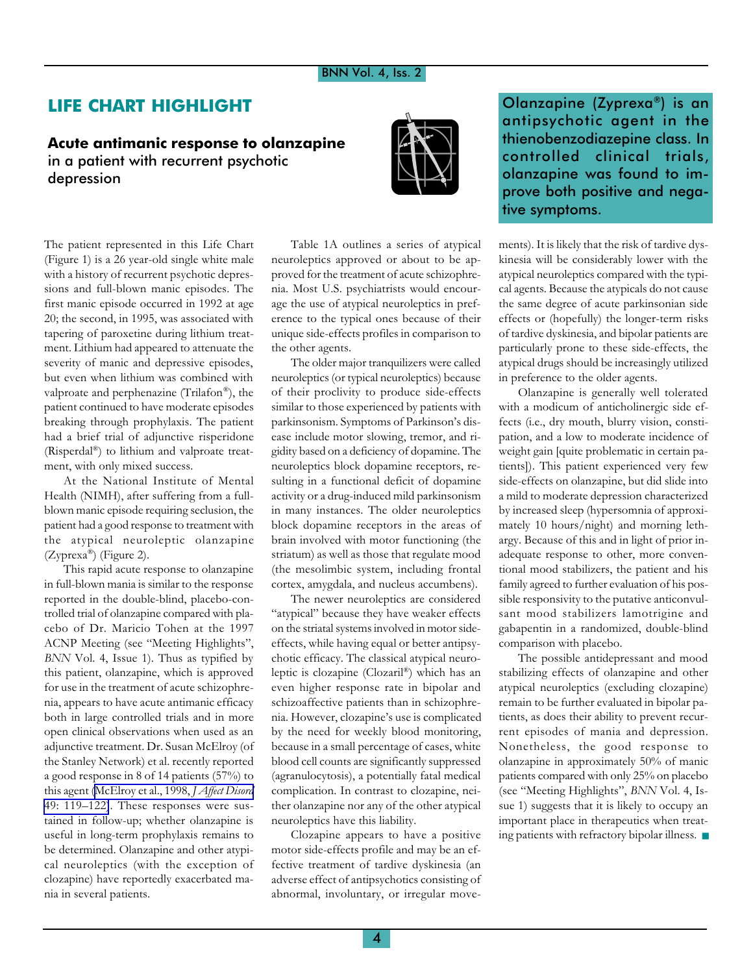# LIFE CHART HIGHLIGHT

## Acute antimanic response to olanzapine in a patient with recurrent psychotic depression



The patient represented in this Life Chart (Figure 1) is a 26 year-old single white male with a history of recurrent psychotic depressions and full-blown manic episodes. The first manic episode occurred in 1992 at age 20; the second, in 1995, was associated with tapering of paroxetine during lithium treatment. Lithium had appeared to attenuate the severity of manic and depressive episodes, but even when lithium was combined with valproate and perphenazine (Trilafon®), the patient continued to have moderate episodes breaking through prophylaxis. The patient had a brief trial of adjunctive risperidone (Risperdal®) to lithium and valproate treatment, with only mixed success.

At the National Institute of Mental Health (NIMH), after suffering from a fullblown manic episode requiring seclusion, the patient had a good response to treatment with the atypical neuroleptic olanzapine (Zyprexa®) (Figure 2).

This rapid acute response to olanzapine in full-blown mania is similar to the response reported in the double-blind, placebo-controlled trial of olanzapine compared with placebo of Dr. Maricio Tohen at the 1997 ACNP Meeting (see "Meeting Highlights", BNN Vol. 4, Issue 1). Thus as typified by this patient, olanzapine, which is approved for use in the treatment of acute schizophrenia, appears to have acute antimanic efficacy both in large controlled trials and in more open clinical observations when used as an adjunctive treatment. Dr. Susan McElroy (of the Stanley Network) et al. recently reported a good response in 8 of 14 patients (57%) to this agent ([McElroy et al., 1998,](http://www.ncbi.nlm.nih.gov/entrez/query.fcgi?cmd=Retrieve&db=PubMed&list_uids=9609675&dopt=Abstract) J Affect Disord 49: 119 $-122$ ). These responses were sustained in follow-up; whether olanzapine is useful in long-term prophylaxis remains to be determined. Olanzapine and other atypical neuroleptics (with the exception of clozapine) have reportedly exacerbated mania in several patients.

Table 1A outlines a series of atypical neuroleptics approved or about to be approved for the treatment of acute schizophrenia. Most U.S. psychiatrists would encourage the use of atypical neuroleptics in preference to the typical ones because of their unique side-effects profiles in comparison to the other agents.

The older major tranquilizers were called neuroleptics (or typical neuroleptics) because of their proclivity to produce side-effects similar to those experienced by patients with parkinsonism. Symptoms of Parkinson's disease include motor slowing, tremor, and rigidity based on a deficiency of dopamine. The neuroleptics block dopamine receptors, resulting in a functional deficit of dopamine activity or a drug-induced mild parkinsonism in many instances. The older neuroleptics block dopamine receptors in the areas of brain involved with motor functioning (the striatum) as well as those that regulate mood (the mesolimbic system, including frontal cortex, amygdala, and nucleus accumbens).

The newer neuroleptics are considered "atypical" because they have weaker effects on the striatal systems involved in motor sideeffects, while having equal or better antipsychotic efficacy. The classical atypical neuroleptic is clozapine (Clozaril®) which has an even higher response rate in bipolar and schizoaffective patients than in schizophrenia. However, clozapine's use is complicated by the need for weekly blood monitoring, because in a small percentage of cases, white blood cell counts are significantly suppressed (agranulocytosis), a potentially fatal medical complication. In contrast to clozapine, neither olanzapine nor any of the other atypical neuroleptics have this liability.

Clozapine appears to have a positive motor side-effects profile and may be an effective treatment of tardive dyskinesia (an adverse effect of antipsychotics consisting of abnormal, involuntary, or irregular moveOlanzapine (Zyprexa®) is an antipsychotic agent in the thienobenzodiazepine class. In controlled clinical trials, olanzapine was found to improve both positive and negative symptoms.

ments). It is likely that the risk of tardive dyskinesia will be considerably lower with the atypical neuroleptics compared with the typical agents. Because the atypicals do not cause the same degree of acute parkinsonian side effects or (hopefully) the longer-term risks of tardive dyskinesia, and bipolar patients are particularly prone to these side-effects, the atypical drugs should be increasingly utilized in preference to the older agents.

Olanzapine is generally well tolerated with a modicum of anticholinergic side effects (i.e., dry mouth, blurry vision, constipation, and a low to moderate incidence of weight gain [quite problematic in certain patients]). This patient experienced very few side-effects on olanzapine, but did slide into a mild to moderate depression characterized by increased sleep (hypersomnia of approximately 10 hours/night) and morning lethargy. Because of this and in light of prior inadequate response to other, more conventional mood stabilizers, the patient and his family agreed to further evaluation of his possible responsivity to the putative anticonvulsant mood stabilizers lamotrigine and gabapentin in a randomized, double-blind comparison with placebo.

The possible antidepressant and mood stabilizing effects of olanzapine and other atypical neuroleptics (excluding clozapine) remain to be further evaluated in bipolar patients, as does their ability to prevent recurrent episodes of mania and depression. Nonetheless, the good response to olanzapine in approximately 50% of manic patients compared with only 25% on placebo (see "Meeting Highlights", BNN Vol. 4, Issue 1) suggests that it is likely to occupy an important place in therapeutics when treating patients with refractory bipolar illness. ■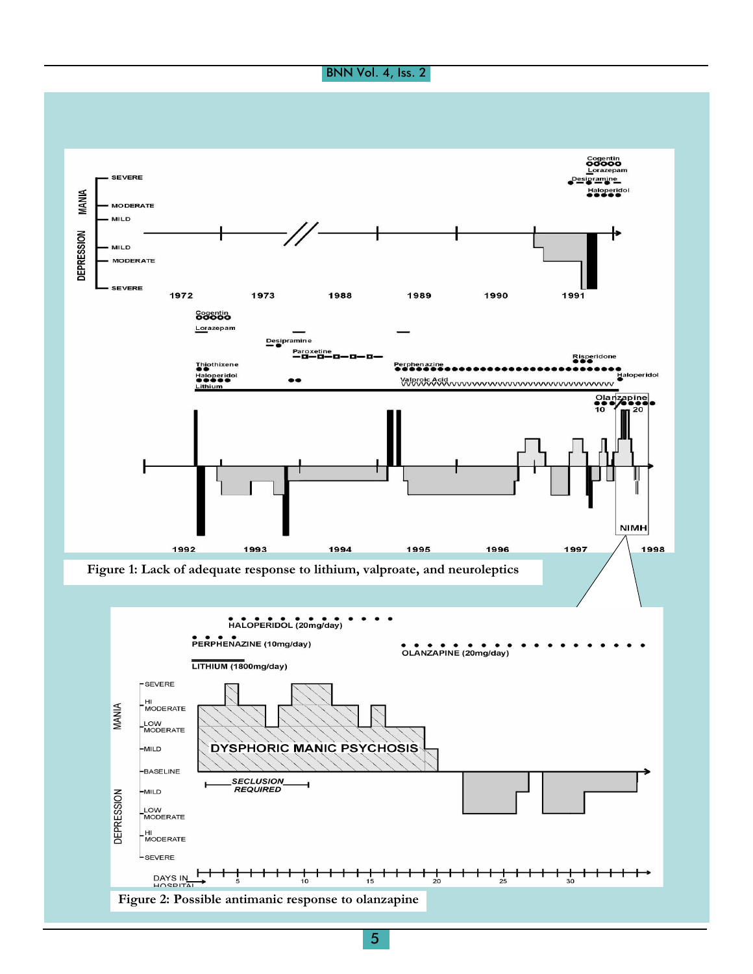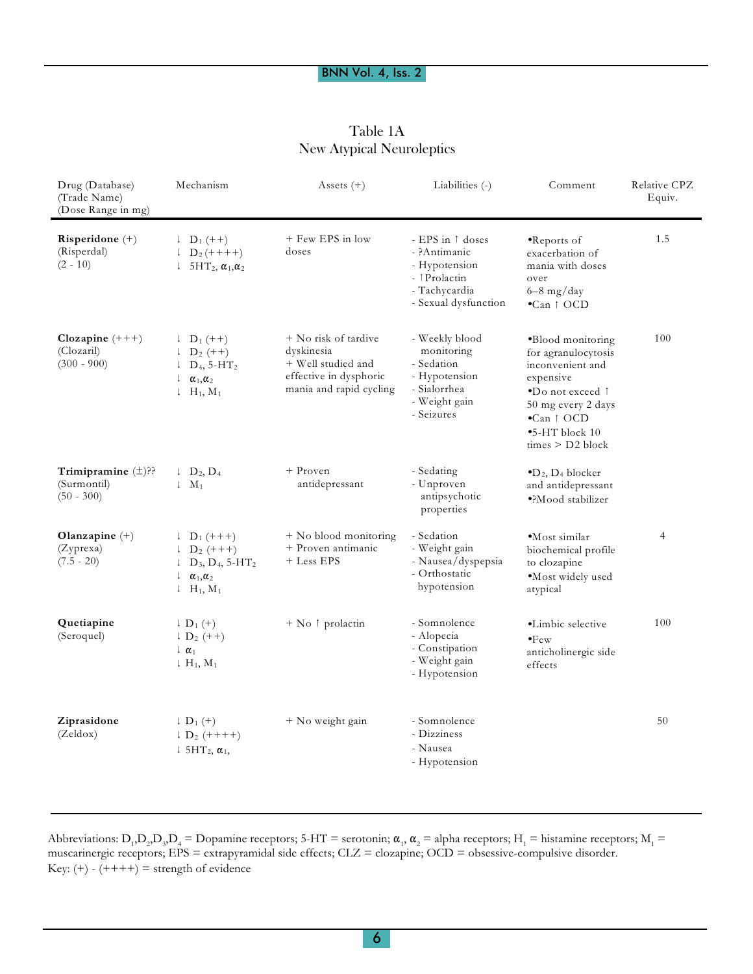| Table 1A                         |
|----------------------------------|
| <b>New Atypical Neuroleptics</b> |

| Drug (Database)<br>(Trade Name)<br>(Dose Range in mg)  | Mechanism                                                                                                                                                                                             | Assets $(+)$                                                                                                  | Liabilities (-)                                                                                             | Comment                                                                                                                                                                                              | Relative CPZ<br>Equiv. |
|--------------------------------------------------------|-------------------------------------------------------------------------------------------------------------------------------------------------------------------------------------------------------|---------------------------------------------------------------------------------------------------------------|-------------------------------------------------------------------------------------------------------------|------------------------------------------------------------------------------------------------------------------------------------------------------------------------------------------------------|------------------------|
| Risperidone $(+)$<br>(Risperdal)<br>$(2 - 10)$         | $\downarrow$ D <sub>1</sub> (++)<br>$1 D_2 (+++)$<br>$5HT_2$ , $\alpha_1$ , $\alpha_2$<br>Ţ.                                                                                                          | + Few EPS in low<br>doses                                                                                     | - EPS in 1 doses<br>- ?Antimanic<br>- Hypotension<br>- 1 Prolactin<br>- Tachycardia<br>- Sexual dysfunction | $\bullet$ Reports of<br>exacerbation of<br>mania with doses<br>over<br>$6-8$ mg/day<br>$\bullet$ Can $\uparrow$ OCD                                                                                  | 1.5                    |
| Clozapine $(+++)$<br>(Clozaril)<br>$(300 - 900)$       | $\downarrow$ D <sub>1</sub> (++)<br>$\downarrow$ D <sub>2</sub> (++)<br>$\downarrow$ D <sub>4</sub> , 5-HT <sub>2</sub><br>ţ.<br>$\alpha_1, \alpha_2$<br>$\downarrow$ H <sub>1</sub> , M <sub>1</sub> | + No risk of tardive<br>dyskinesia<br>+ Well studied and<br>effective in dysphoric<br>mania and rapid cycling | - Weekly blood<br>monitoring<br>- Sedation<br>- Hypotension<br>- Sialorrhea<br>- Weight gain<br>- Seizures  | •Blood monitoring<br>for agranulocytosis<br>inconvenient and<br>expensive<br>•Do not exceed 1<br>50 mg every 2 days<br>$\bullet$ Can $\uparrow$ OCD<br>$\bullet$ 5-HT block 10<br>$times > D2$ block | 100                    |
| Trimipramine $(\pm)$ ??<br>(Surmontil)<br>$(50 - 300)$ | $\downarrow$ D <sub>2</sub> , D <sub>4</sub><br>$\downarrow$ M <sub>1</sub>                                                                                                                           | + Proven<br>antidepressant                                                                                    | - Sedating<br>- Unproven<br>antipsychotic<br>properties                                                     | $\bullet$ D <sub>2</sub> , D <sub>4</sub> blocker<br>and antidepressant<br>·?Mood stabilizer                                                                                                         |                        |
| Olanzapine $(+)$<br>(Zyprexa)<br>$(7.5 - 20)$          | $\downarrow$ D <sub>1</sub> (+++)<br>$\downarrow$ D <sub>2</sub> (+++)<br>$1\;\;D_3, D_4, 5-HT_2$<br>$\downarrow$ $\alpha_1, \alpha_2$<br>$\downarrow$ H <sub>1</sub> , M <sub>1</sub>                | + No blood monitoring<br>+ Proven antimanic<br>+ Less EPS                                                     | - Sedation<br>- Weight gain<br>- Nausea/dyspepsia<br>- Orthostatic<br>hypotension                           | $\bullet$ Most similar<br>biochemical profile<br>to clozapine<br>·Most widely used<br>atypical                                                                                                       | 4                      |
| Quetiapine<br>(Seroquel)                               | $\downarrow$ D <sub>1</sub> (+)<br>$\downarrow$ D <sub>2</sub> (++)<br>$\downarrow$ $\alpha_1$<br>$\downarrow H_1, M_1$                                                                               | + No 1 prolactin                                                                                              | - Somnolence<br>- Alopecia<br>- Constipation<br>- Weight gain<br>- Hypotension                              | ·Limbic selective<br>$\bullet$ Few<br>anticholinergic side<br>effects                                                                                                                                | 100                    |
| Ziprasidone<br>(Zeldox)                                | $\downarrow$ D <sub>1</sub> $(+)$<br>$\downarrow$ D <sub>2</sub> (++++)<br>$\downarrow$ 5HT <sub>2</sub> , $\alpha_1$ ,                                                                               | + No weight gain                                                                                              | - Somnolence<br>- Dizziness<br>- Nausea<br>- Hypotension                                                    |                                                                                                                                                                                                      | 50                     |

Abbreviations:  $D_1$ , $D_2$ , $D_3$ , $D_4$  = Dopamine receptors; 5-HT = serotonin;  $\alpha_1$ ,  $\alpha_2$  = alpha receptors; H<sub>1</sub> = histamine receptors; M<sub>1</sub> = muscarinergic receptors; EPS = extrapyramidal side effects; CLZ = clozapine; OCD = obsessive-compulsive disorder. Key:  $(+)$  -  $(++++)$  = strength of evidence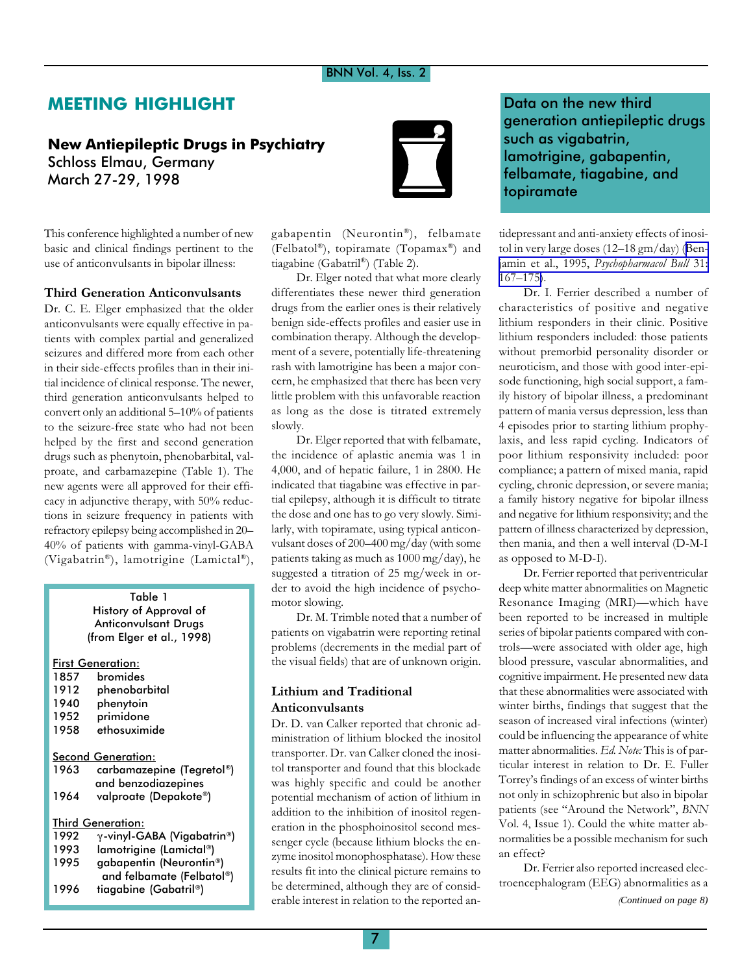# MEETING HIGHLIGHT

# New Antiepileptic Drugs in Psychiatry Schloss Elmau, Germany March 27-29, 1998



This conference highlighted a number of new basic and clinical findings pertinent to the use of anticonvulsants in bipolar illness:

## Third Generation Anticonvulsants

Dr. C. E. Elger emphasized that the older anticonvulsants were equally effective in patients with complex partial and generalized seizures and differed more from each other in their side-effects profiles than in their initial incidence of clinical response. The newer, third generation anticonvulsants helped to convert only an additional  $5-10%$  of patients to the seizure-free state who had not been helped by the first and second generation drugs such as phenytoin, phenobarbital, valproate, and carbamazepine (Table 1). The new agents were all approved for their efficacy in adjunctive therapy, with 50% reductions in seizure frequency in patients with refractory epilepsy being accomplished in 20 40% of patients with gamma-vinyl-GABA (Vigabatrin®), lamotrigine (Lamictal®),

## Table 1 History of Approval of Anticonvulsant Drugs (from Elger et al., 1998)

|      | First Generation:          |
|------|----------------------------|
| 1857 | bromides                   |
| 1912 | phenobarbital              |
| 1940 | phenytoin                  |
| 1952 | primidone                  |
| 1958 | ethosuximide               |
|      |                            |
|      | Second Generation:         |
| 1963 | carbamazepine (Tegretol®)  |
|      | and benzodiazepines        |
| 1964 | valproate (Depakote®)      |
|      | Third Generation:          |
| 1992 | γ-vinyl-GABA (Vigabatrin®) |
|      |                            |
| 1993 | lamotrigine (Lamictal®)    |
| 1995 | gabapentin (Neurontin®)    |
|      | and felbamate (Felbatol®)  |
| 1996 | tiagabine (Gabatril®)      |
|      |                            |

gabapentin (Neurontin®), felbamate (Felbatol®), topiramate (Topamax®) and tiagabine (Gabatril®) (Table 2).

Dr. Elger noted that what more clearly differentiates these newer third generation drugs from the earlier ones is their relatively benign side-effects profiles and easier use in combination therapy. Although the development of a severe, potentially life-threatening rash with lamotrigine has been a major concern, he emphasized that there has been very little problem with this unfavorable reaction as long as the dose is titrated extremely slowly.

Dr. Elger reported that with felbamate, the incidence of aplastic anemia was 1 in 4,000, and of hepatic failure, 1 in 2800. He indicated that tiagabine was effective in partial epilepsy, although it is difficult to titrate the dose and one has to go very slowly. Similarly, with topiramate, using typical anticonvulsant doses of 200-400 mg/day (with some patients taking as much as 1000 mg/day), he suggested a titration of 25 mg/week in order to avoid the high incidence of psychomotor slowing.

Dr. M. Trimble noted that a number of patients on vigabatrin were reporting retinal problems (decrements in the medial part of the visual fields) that are of unknown origin.

## Lithium and Traditional Anticonvulsants

Dr. D. van Calker reported that chronic administration of lithium blocked the inositol transporter. Dr. van Calker cloned the inositol transporter and found that this blockade was highly specific and could be another potential mechanism of action of lithium in addition to the inhibition of inositol regeneration in the phosphoinositol second messenger cycle (because lithium blocks the enzyme inositol monophosphatase). How these results fit into the clinical picture remains to be determined, although they are of considerable interest in relation to the reported an-

Data on the new third generation antiepileptic drugs such as vigabatrin, lamotrigine, gabapentin, felbamate, tiagabine, and topiramate

tidepressant and anti-anxiety effects of inositol in very large doses  $(12-18 \text{ gm/day})$  ([Ben-](http://www.ncbi.nlm.nih.gov/entrez/query.fcgi?cmd=Retrieve&db=PubMed&list_uids=7675981&dopt=Abstract)jamin et al., 1995, [Psychopharmacol Bull](http://www.ncbi.nlm.nih.gov/entrez/query.fcgi?cmd=Retrieve&db=PubMed&list_uids=7675981&dopt=Abstract) 31:  $167 - 175$ .

Dr. I. Ferrier described a number of characteristics of positive and negative lithium responders in their clinic. Positive lithium responders included: those patients without premorbid personality disorder or neuroticism, and those with good inter-episode functioning, high social support, a family history of bipolar illness, a predominant pattern of mania versus depression, less than 4 episodes prior to starting lithium prophylaxis, and less rapid cycling. Indicators of poor lithium responsivity included: poor compliance; a pattern of mixed mania, rapid cycling, chronic depression, or severe mania; a family history negative for bipolar illness and negative for lithium responsivity; and the pattern of illness characterized by depression, then mania, and then a well interval (D-M-I as opposed to M-D-I).

Dr. Ferrier reported that periventricular deep white matter abnormalities on Magnetic Resonance Imaging (MRI)-which have been reported to be increased in multiple series of bipolar patients compared with controls-were associated with older age, high blood pressure, vascular abnormalities, and cognitive impairment. He presented new data that these abnormalities were associated with winter births, findings that suggest that the season of increased viral infections (winter) could be influencing the appearance of white matter abnormalities. Ed. Note: This is of particular interest in relation to Dr. E. Fuller Torreys findings of an excess of winter births not only in schizophrenic but also in bipolar patients (see "Around the Network", BNN Vol. 4, Issue 1). Could the white matter abnormalities be a possible mechanism for such an effect?

Dr. Ferrier also reported increased electroencephalogram (EEG) abnormalities as a

(*Continued on page 8)*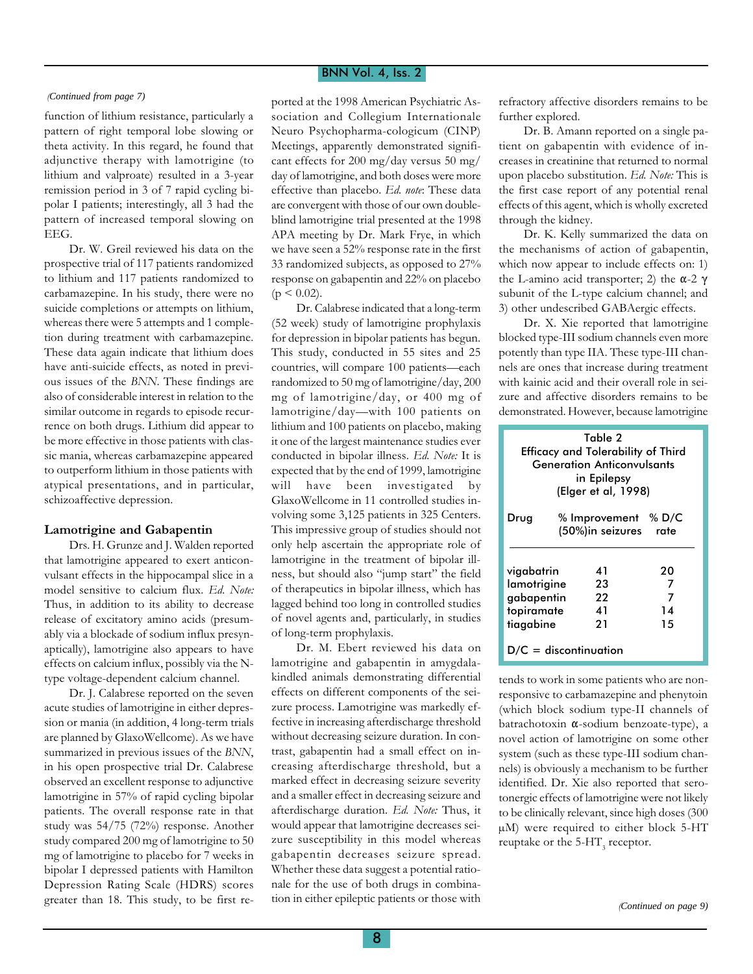function of lithium resistance, particularly a pattern of right temporal lobe slowing or theta activity. In this regard, he found that adjunctive therapy with lamotrigine (to lithium and valproate) resulted in a 3-year remission period in 3 of 7 rapid cycling bipolar I patients; interestingly, all 3 had the pattern of increased temporal slowing on EEG.

Dr. W. Greil reviewed his data on the prospective trial of 117 patients randomized to lithium and 117 patients randomized to carbamazepine. In his study, there were no suicide completions or attempts on lithium, whereas there were 5 attempts and 1 completion during treatment with carbamazepine. These data again indicate that lithium does have anti-suicide effects, as noted in previous issues of the BNN. These findings are also of considerable interest in relation to the similar outcome in regards to episode recurrence on both drugs. Lithium did appear to be more effective in those patients with classic mania, whereas carbamazepine appeared to outperform lithium in those patients with atypical presentations, and in particular, schizoaffective depression.

## Lamotrigine and Gabapentin

Drs. H. Grunze and J. Walden reported that lamotrigine appeared to exert anticonvulsant effects in the hippocampal slice in a model sensitive to calcium flux. Ed. Note: Thus, in addition to its ability to decrease release of excitatory amino acids (presumably via a blockade of sodium influx presynaptically), lamotrigine also appears to have effects on calcium influx, possibly via the Ntype voltage-dependent calcium channel.

Dr. J. Calabrese reported on the seven acute studies of lamotrigine in either depression or mania (in addition, 4 long-term trials are planned by GlaxoWellcome). As we have summarized in previous issues of the BNN, in his open prospective trial Dr. Calabrese observed an excellent response to adjunctive lamotrigine in 57% of rapid cycling bipolar patients. The overall response rate in that study was 54/75 (72%) response. Another study compared 200 mg of lamotrigine to 50 mg of lamotrigine to placebo for 7 weeks in bipolar I depressed patients with Hamilton Depression Rating Scale (HDRS) scores greater than 18. This study, to be first re-

(*Continued from page 7)* ported at the 1998 American Psychiatric Association and Collegium Internationale Neuro Psychopharma-cologicum (CINP) Meetings, apparently demonstrated significant effects for 200 mg/day versus 50 mg/ day of lamotrigine, and both doses were more effective than placebo. Ed. note: These data are convergent with those of our own doubleblind lamotrigine trial presented at the 1998 APA meeting by Dr. Mark Frye, in which we have seen a 52% response rate in the first 33 randomized subjects, as opposed to 27% response on gabapentin and 22% on placebo  $(p < 0.02)$ .

> Dr. Calabrese indicated that a long-term (52 week) study of lamotrigine prophylaxis for depression in bipolar patients has begun. This study, conducted in 55 sites and 25 countries, will compare 100 patients-each randomized to 50 mg of lamotrigine/day, 200 mg of lamotrigine/day, or 400 mg of lamotrigine/day-with 100 patients on lithium and 100 patients on placebo, making it one of the largest maintenance studies ever conducted in bipolar illness. Ed. Note: It is expected that by the end of 1999, lamotrigine will have been investigated by GlaxoWellcome in 11 controlled studies involving some 3,125 patients in 325 Centers. This impressive group of studies should not only help ascertain the appropriate role of lamotrigine in the treatment of bipolar illness, but should also "jump start" the field of therapeutics in bipolar illness, which has lagged behind too long in controlled studies of novel agents and, particularly, in studies of long-term prophylaxis.

> Dr. M. Ebert reviewed his data on lamotrigine and gabapentin in amygdalakindled animals demonstrating differential effects on different components of the seizure process. Lamotrigine was markedly effective in increasing afterdischarge threshold without decreasing seizure duration. In contrast, gabapentin had a small effect on increasing afterdischarge threshold, but a marked effect in decreasing seizure severity and a smaller effect in decreasing seizure and afterdischarge duration. Ed. Note: Thus, it would appear that lamotrigine decreases seizure susceptibility in this model whereas gabapentin decreases seizure spread. Whether these data suggest a potential rationale for the use of both drugs in combination in either epileptic patients or those with

refractory affective disorders remains to be further explored.

Dr. B. Amann reported on a single patient on gabapentin with evidence of increases in creatinine that returned to normal upon placebo substitution. Ed. Note: This is the first case report of any potential renal effects of this agent, which is wholly excreted through the kidney.

Dr. K. Kelly summarized the data on the mechanisms of action of gabapentin, which now appear to include effects on: 1) the L-amino acid transporter; 2) the  $\alpha$ -2  $\gamma$ subunit of the L-type calcium channel; and 3) other undescribed GABAergic effects.

Dr. X. Xie reported that lamotrigine blocked type-III sodium channels even more potently than type IIA. These type-III channels are ones that increase during treatment with kainic acid and their overall role in seizure and affective disorders remains to be demonstrated. However, because lamotrigine

| Efficacy and Tolerability of Third                                 | Table 2<br><b>Generation Anticonvulsants</b><br>in Epilepsy<br>(Elger et al, 1998) |                          |  |  |
|--------------------------------------------------------------------|------------------------------------------------------------------------------------|--------------------------|--|--|
| Drug                                                               | % Improvement % D/C<br>(50%) in seizures rate                                      |                          |  |  |
| vigabatrin<br>lamotrigine<br>gabapentin<br>topiramate<br>tiagabine | 41<br>23<br>22<br>41<br>21                                                         | 20<br>7<br>7<br>14<br>15 |  |  |
| $D/C =$ discontinuation                                            |                                                                                    |                          |  |  |

tends to work in some patients who are nonresponsive to carbamazepine and phenytoin (which block sodium type-II channels of batrachotoxin  $\alpha$ -sodium benzoate-type), a novel action of lamotrigine on some other system (such as these type-III sodium channels) is obviously a mechanism to be further identified. Dr. Xie also reported that serotonergic effects of lamotrigine were not likely to be clinically relevant, since high doses (300 µM) were required to either block 5-HT reuptake or the 5- $HT_{3}$  receptor.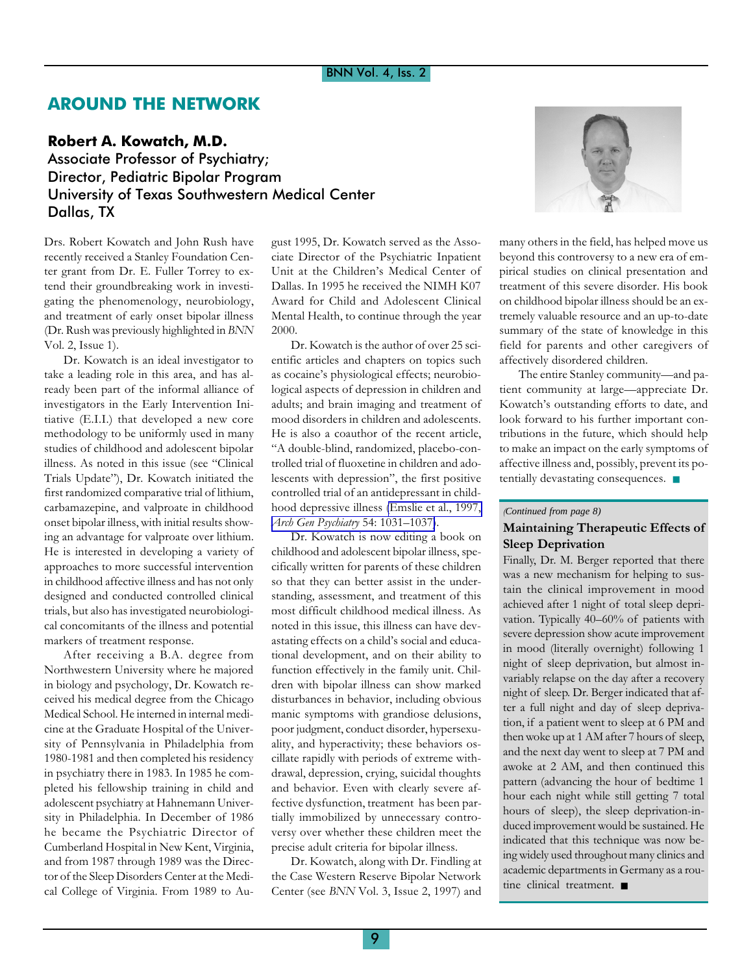# AROUND THE NETWORK

## Robert A. Kowatch, M.D.

Associate Professor of Psychiatry; Director, Pediatric Bipolar Program University of Texas Southwestern Medical Center Dallas, TX

Drs. Robert Kowatch and John Rush have recently received a Stanley Foundation Center grant from Dr. E. Fuller Torrey to extend their groundbreaking work in investigating the phenomenology, neurobiology, and treatment of early onset bipolar illness (Dr. Rush was previously highlighted in BNN Vol. 2, Issue 1).

Dr. Kowatch is an ideal investigator to take a leading role in this area, and has already been part of the informal alliance of investigators in the Early Intervention Initiative (E.I.I.) that developed a new core methodology to be uniformly used in many studies of childhood and adolescent bipolar illness. As noted in this issue (see "Clinical Trials Update"), Dr. Kowatch initiated the first randomized comparative trial of lithium, carbamazepine, and valproate in childhood onset bipolar illness, with initial results showing an advantage for valproate over lithium. He is interested in developing a variety of approaches to more successful intervention in childhood affective illness and has not only designed and conducted controlled clinical trials, but also has investigated neurobiological concomitants of the illness and potential markers of treatment response.

After receiving a B.A. degree from Northwestern University where he majored in biology and psychology, Dr. Kowatch received his medical degree from the Chicago Medical School. He interned in internal medicine at the Graduate Hospital of the University of Pennsylvania in Philadelphia from 1980-1981 and then completed his residency in psychiatry there in 1983. In 1985 he completed his fellowship training in child and adolescent psychiatry at Hahnemann University in Philadelphia. In December of 1986 he became the Psychiatric Director of Cumberland Hospital in New Kent, Virginia, and from 1987 through 1989 was the Director of the Sleep Disorders Center at the Medical College of Virginia. From 1989 to Au-

gust 1995, Dr. Kowatch served as the Associate Director of the Psychiatric Inpatient Unit at the Children's Medical Center of Dallas. In 1995 he received the NIMH K07 Award for Child and Adolescent Clinical Mental Health, to continue through the year 2000.

Dr. Kowatch is the author of over 25 scientific articles and chapters on topics such as cocaine's physiological effects; neurobiological aspects of depression in children and adults; and brain imaging and treatment of mood disorders in children and adolescents. He is also a coauthor of the recent article, A double-blind, randomized, placebo-controlled trial of fluoxetine in children and adolescents with depression", the first positive controlled trial of an antidepressant in childhood depressive illness [\(Emslie et al., 1997,](http://www.ncbi.nlm.nih.gov/entrez/query.fcgi?cmd=Retrieve&db=PubMed&list_uids=9366660&dopt=Abstract) [Arch Gen Psychiatry](http://www.ncbi.nlm.nih.gov/entrez/query.fcgi?cmd=Retrieve&db=PubMed&list_uids=9366660&dopt=Abstract) 54: 1031-1037).

Dr. Kowatch is now editing a book on childhood and adolescent bipolar illness, specifically written for parents of these children so that they can better assist in the understanding, assessment, and treatment of this most difficult childhood medical illness. As noted in this issue, this illness can have devastating effects on a child's social and educational development, and on their ability to function effectively in the family unit. Children with bipolar illness can show marked disturbances in behavior, including obvious manic symptoms with grandiose delusions, poor judgment, conduct disorder, hypersexuality, and hyperactivity; these behaviors oscillate rapidly with periods of extreme withdrawal, depression, crying, suicidal thoughts and behavior. Even with clearly severe affective dysfunction, treatment has been partially immobilized by unnecessary controversy over whether these children meet the precise adult criteria for bipolar illness.

Dr. Kowatch, along with Dr. Findling at the Case Western Reserve Bipolar Network Center (see BNN Vol. 3, Issue 2, 1997) and



many others in the field, has helped move us beyond this controversy to a new era of empirical studies on clinical presentation and treatment of this severe disorder. His book on childhood bipolar illness should be an extremely valuable resource and an up-to-date summary of the state of knowledge in this field for parents and other caregivers of affectively disordered children.

The entire Stanley community—and patient community at large—appreciate Dr. Kowatch's outstanding efforts to date, and look forward to his further important contributions in the future, which should help to make an impact on the early symptoms of affective illness and, possibly, prevent its potentially devastating consequences. ■

## (*Continued from page 8)*

## Maintaining Therapeutic Effects of Sleep Deprivation

Finally, Dr. M. Berger reported that there was a new mechanism for helping to sustain the clinical improvement in mood achieved after 1 night of total sleep deprivation. Typically 40-60% of patients with severe depression show acute improvement in mood (literally overnight) following 1 night of sleep deprivation, but almost invariably relapse on the day after a recovery night of sleep. Dr. Berger indicated that after a full night and day of sleep deprivation, if a patient went to sleep at 6 PM and then woke up at 1 AM after 7 hours of sleep, and the next day went to sleep at 7 PM and awoke at 2 AM, and then continued this pattern (advancing the hour of bedtime 1 hour each night while still getting 7 total hours of sleep), the sleep deprivation-induced improvement would be sustained. He indicated that this technique was now being widely used throughout many clinics and academic departments in Germany as a routine clinical treatment. ■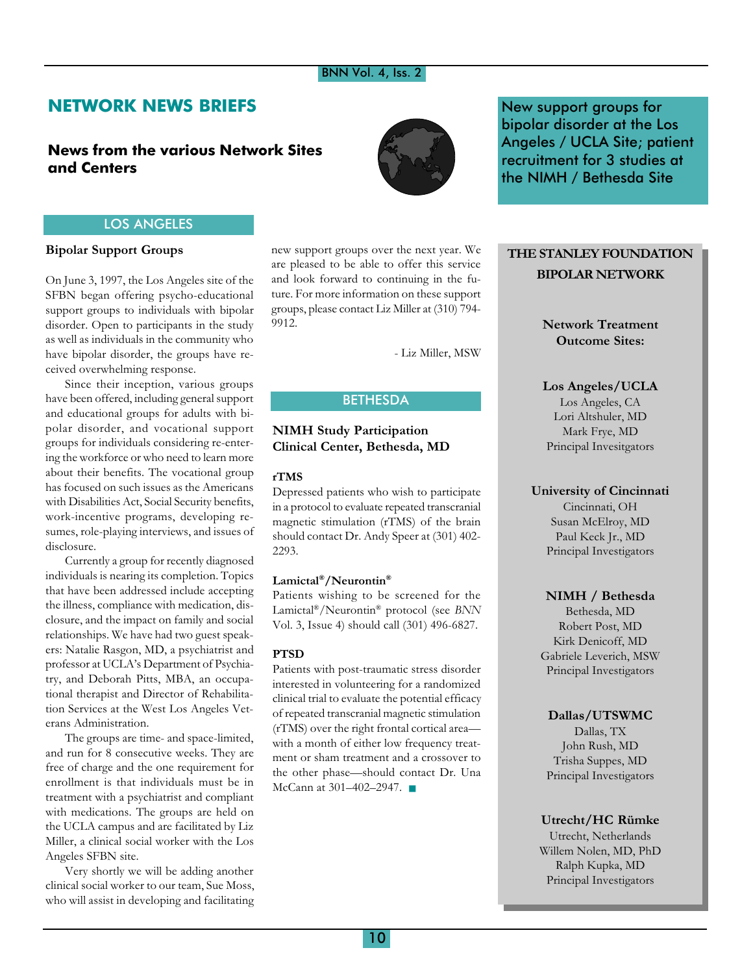# NETWORK NEWS BRIEFS

# News from the various Network Sites and Centers



New support groups for bipolar disorder at the Los Angeles / UCLA Site; patient recruitment for 3 studies at the NIMH / Bethesda Site

## LOS ANGELES

## Bipolar Support Groups

On June 3, 1997, the Los Angeles site of the SFBN began offering psycho-educational support groups to individuals with bipolar disorder. Open to participants in the study as well as individuals in the community who have bipolar disorder, the groups have received overwhelming response.

Since their inception, various groups have been offered, including general support and educational groups for adults with bipolar disorder, and vocational support groups for individuals considering re-entering the workforce or who need to learn more about their benefits. The vocational group has focused on such issues as the Americans with Disabilities Act, Social Security benefits, work-incentive programs, developing resumes, role-playing interviews, and issues of disclosure.

Currently a group for recently diagnosed individuals is nearing its completion. Topics that have been addressed include accepting the illness, compliance with medication, disclosure, and the impact on family and social relationships. We have had two guest speakers: Natalie Rasgon, MD, a psychiatrist and professor at UCLA's Department of Psychiatry, and Deborah Pitts, MBA, an occupational therapist and Director of Rehabilitation Services at the West Los Angeles Veterans Administration.

The groups are time- and space-limited, and run for 8 consecutive weeks. They are free of charge and the one requirement for enrollment is that individuals must be in treatment with a psychiatrist and compliant with medications. The groups are held on the UCLA campus and are facilitated by Liz Miller, a clinical social worker with the Los Angeles SFBN site.

Very shortly we will be adding another clinical social worker to our team, Sue Moss, who will assist in developing and facilitating new support groups over the next year. We are pleased to be able to offer this service and look forward to continuing in the future. For more information on these support groups, please contact Liz Miller at (310) 794- 9912.

- Liz Miller, MSW

## BETHESDA

## NIMH Study Participation Clinical Center, Bethesda, MD

## rTMS

Depressed patients who wish to participate in a protocol to evaluate repeated transcranial magnetic stimulation (rTMS) of the brain should contact Dr. Andy Speer at (301) 402- 2293.

## Lamictal®/Neurontin®

Patients wishing to be screened for the Lamictal®/Neurontin® protocol (see BNN Vol. 3, Issue 4) should call (301) 496-6827.

## PTSD

Patients with post-traumatic stress disorder interested in volunteering for a randomized clinical trial to evaluate the potential efficacy of repeated transcranial magnetic stimulation (rTMS) over the right frontal cortical area with a month of either low frequency treatment or sham treatment and a crossover to the other phase-should contact Dr. Una McCann at 301–402–2947. ■

# THE STANLEY FOUNDATION BIPOLAR NETWORK

Network Treatment Outcome Sites:

## Los Angeles/UCLA

Los Angeles, CA Lori Altshuler, MD Mark Frye, MD Principal Invesitgators

## University of Cincinnati

Cincinnati, OH Susan McElroy, MD Paul Keck Jr., MD Principal Investigators

## NIMH / Bethesda

Bethesda, MD Robert Post, MD Kirk Denicoff, MD Gabriele Leverich, MSW Principal Investigators

## Dallas/UTSWMC

Dallas, TX John Rush, MD Trisha Suppes, MD Principal Investigators

## Utrecht/HC Rümke

Utrecht, Netherlands Willem Nolen, MD, PhD Ralph Kupka, MD Principal Investigators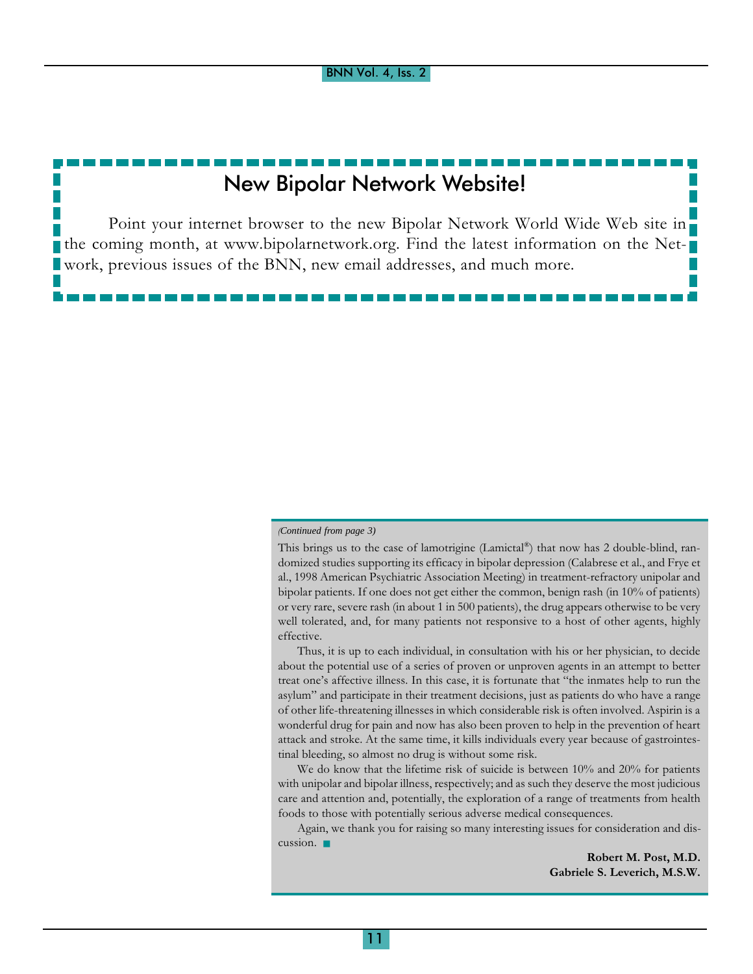# New Bipolar Network Website!

Point your internet browser to the new Bipolar Network World Wide Web site in the coming month, at www.bipolarnetwork.org. Find the latest information on the Network, previous issues of the BNN, new email addresses, and much more.

### (*Continued from page 3)*

This brings us to the case of lamotrigine (Lamictal®) that now has 2 double-blind, randomized studies supporting its efficacy in bipolar depression (Calabrese et al., and Frye et al., 1998 American Psychiatric Association Meeting) in treatment-refractory unipolar and bipolar patients. If one does not get either the common, benign rash (in 10% of patients) or very rare, severe rash (in about 1 in 500 patients), the drug appears otherwise to be very well tolerated, and, for many patients not responsive to a host of other agents, highly effective.

Thus, it is up to each individual, in consultation with his or her physician, to decide about the potential use of a series of proven or unproven agents in an attempt to better treat one's affective illness. In this case, it is fortunate that "the inmates help to run the asylum" and participate in their treatment decisions, just as patients do who have a range of other life-threatening illnesses in which considerable risk is often involved. Aspirin is a wonderful drug for pain and now has also been proven to help in the prevention of heart attack and stroke. At the same time, it kills individuals every year because of gastrointestinal bleeding, so almost no drug is without some risk.

We do know that the lifetime risk of suicide is between 10% and 20% for patients with unipolar and bipolar illness, respectively; and as such they deserve the most judicious care and attention and, potentially, the exploration of a range of treatments from health foods to those with potentially serious adverse medical consequences.

Again, we thank you for raising so many interesting issues for consideration and discussion. ■

> Robert M. Post, M.D. Gabriele S. Leverich, M.S.W.